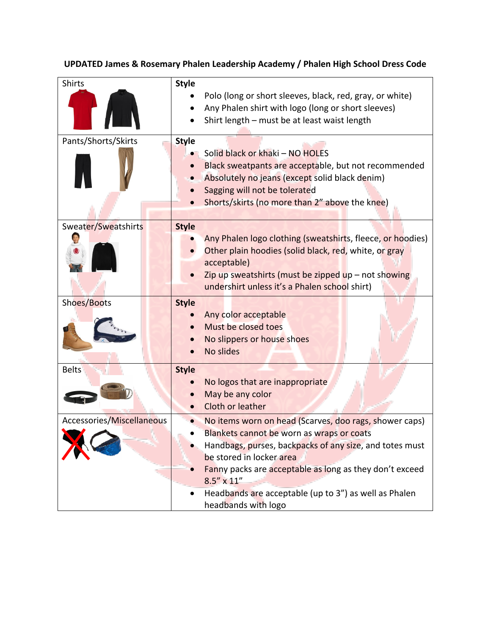## **UPDATED James & Rosemary Phalen Leadership Academy / Phalen High School Dress Code**

| Shirts                    | <b>Style</b> | Polo (long or short sleeves, black, red, gray, or white)<br>Any Phalen shirt with logo (long or short sleeves)<br>Shirt length - must be at least waist length                                                                                                                                                                                               |
|---------------------------|--------------|--------------------------------------------------------------------------------------------------------------------------------------------------------------------------------------------------------------------------------------------------------------------------------------------------------------------------------------------------------------|
| Pants/Shorts/Skirts       | <b>Style</b> | Solid black or khaki - NO HOLES<br>Black sweatpants are acceptable, but not recommended<br>Absolutely no jeans (except solid black denim)<br>Sagging will not be tolerated<br>Shorts/skirts (no more than 2" above the knee)                                                                                                                                 |
| Sweater/Sweatshirts       | <b>Style</b> | Any Phalen logo clothing (sweatshirts, fleece, or hoodies)<br>Other plain hoodies (solid black, red, white, or gray<br>acceptable)<br>Zip up sweatshirts (must be zipped up $-$ not showing<br>undershirt unless it's a Phalen school shirt)                                                                                                                 |
| Shoes/Boots               | <b>Style</b> | Any color acceptable<br>Must be closed toes<br>No slippers or house shoes<br><b>No slides</b>                                                                                                                                                                                                                                                                |
| <b>Belts</b>              | <b>Style</b> | No logos that are inappropriate<br>May be any color<br>Cloth or leather                                                                                                                                                                                                                                                                                      |
| Accessories/Miscellaneous |              | No items worn on head (Scarves, doo rags, shower caps)<br>Blankets cannot be worn as wraps or coats<br>Handbags, purses, backpacks of any size, and totes must<br>be stored in locker area<br>Fanny packs are acceptable as long as they don't exceed<br>$8.5'' \times 11''$<br>Headbands are acceptable (up to 3") as well as Phalen<br>headbands with logo |